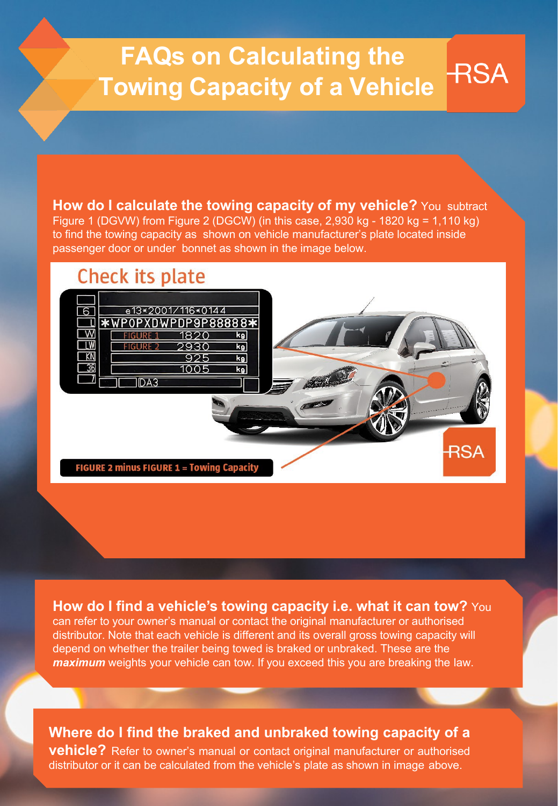# **FAQs on Calculating the Towing Capacity of a Vehicle**

**RSA** 

**How do I calculate the towing capacity of my vehicle?** You subtract Figure 1 (DGVW) from Figure 2 (DGCW) (in this case,  $2,930$  kg - 1820 kg = 1,110 kg) to find the towing capacity as shown on vehicle manufacturer's plate located inside passenger door or under bonnet as shown in the image below.

## **Check its plate**



### **How do I find a vehicle's towing capacity i.e. what it can tow?** You

can refer to your owner's manual or contact the original manufacturer or authorised distributor. Note that each vehicle is different and its overall gross towing capacity will depend on whether the trailer being towed is braked or unbraked. These are the *maximum* weights your vehicle can tow. If you exceed this you are breaking the law.

#### **Where do I find the braked and unbraked towing capacity of a vehicle?** Refer to owner's manual or contact original manufacturer or authorised distributor or it can be calculated from the vehicle's plate as shown in image above.